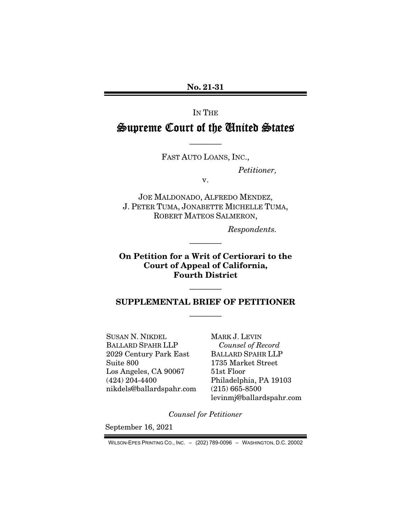No. 21-31

IN THE

# Supreme Court of the United States

———— FAST AUTO LOANS, INC.,

*Petitioner,* 

v.

JOE MALDONADO, ALFREDO MENDEZ, J. PETER TUMA, JONABETTE MICHELLE TUMA, ROBERT MATEOS SALMERON,

*Respondents.* 

On Petition for a Writ of Certiorari to the Court of Appeal of California, Fourth District

————

## SUPPLEMENTAL BRIEF OF PETITIONER ————

————

SUSAN N. NIKDEL BALLARD SPAHR LLP 2029 Century Park East Suite 800 Los Angeles, CA 90067 (424) 204-4400 nikdels@ballardspahr.com MARK J. LEVIN *Counsel of Record*  BALLARD SPAHR LLP 1735 Market Street 51st Floor Philadelphia, PA 19103 (215) 665-8500 levinmj@ballardspahr.com

*Counsel for Petitioner* 

September 16, 2021

WILSON-EPES PRINTING CO., INC. – (202) 789-0096 – WASHINGTON, D.C. 20002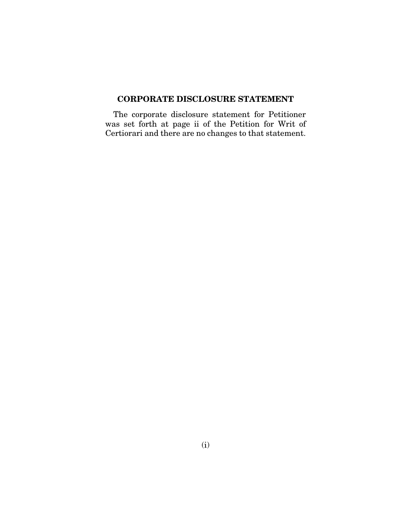### CORPORATE DISCLOSURE STATEMENT

The corporate disclosure statement for Petitioner was set forth at page ii of the Petition for Writ of Certiorari and there are no changes to that statement.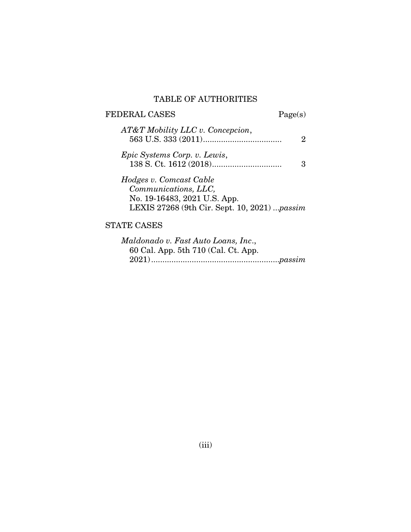#### TABLE OF AUTHORITIES

## FEDERAL CASES Page(s) *AT&T Mobility LLC v. Concepcion*, 563 U.S. 333 (2011) ................................... 2 *Epic Systems Corp. v. Lewis*, 138 S. Ct. 1612 (2018) ............................... 3 *Hodges v. Comcast Cable Communications, LLC,*  No. 19-16483, 2021 U.S. App. LEXIS 27268 (9th Cir. Sept. 10, 2021) ...*passim*

### STATE CASES

| Maldonado v. Fast Auto Loans, Inc., |  |
|-------------------------------------|--|
| 60 Cal. App. 5th 710 (Cal. Ct. App. |  |
|                                     |  |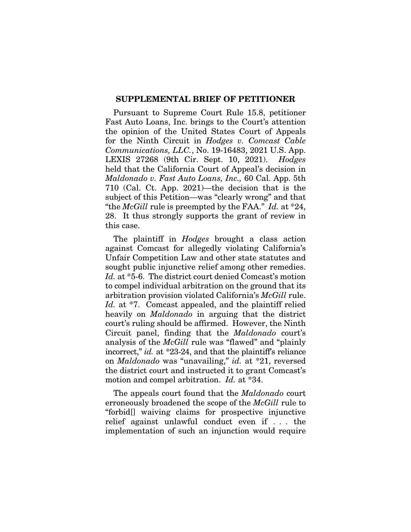#### SUPPLEMENTAL BRIEF OF PETITIONER

Pursuant to Supreme Court Rule 15.8, petitioner Fast Auto Loans, Inc. brings to the Court's attention the opinion of the United States Court of Appeals for the Ninth Circuit in *Hodges v. Comcast Cable Communications, LLC.*, No. 19-16483, 2021 U.S. App. LEXIS 27268 (9th Cir. Sept. 10, 2021). *Hodges* held that the California Court of Appeal's decision in *Maldonado v. Fast Auto Loans, Inc.,* 60 Cal. App. 5th 710 (Cal. Ct. App. 2021)—the decision that is the subject of this Petition—was "clearly wrong" and that "the *McGill* rule is preempted by the FAA." *Id.* at \*24, 28. It thus strongly supports the grant of review in this case.

The plaintiff in *Hodges* brought a class action against Comcast for allegedly violating California's Unfair Competition Law and other state statutes and sought public injunctive relief among other remedies. *Id.* at \*5-6. The district court denied Comcast's motion to compel individual arbitration on the ground that its arbitration provision violated California's *McGill* rule. *Id.* at \*7. Comcast appealed, and the plaintiff relied heavily on *Maldonado* in arguing that the district court's ruling should be affirmed. However, the Ninth Circuit panel, finding that the *Maldonado* court's analysis of the *McGill* rule was "flawed" and "plainly incorrect," *id.* at \*23-24, and that the plaintiff's reliance on *Maldonado* was "unavailing," *id.* at \*21, reversed the district court and instructed it to grant Comcast's motion and compel arbitration. *Id.* at \*34.

The appeals court found that the *Maldonado* court erroneously broadened the scope of the *McGill* rule to "forbid[] waiving claims for prospective injunctive relief against unlawful conduct even if . . . the implementation of such an injunction would require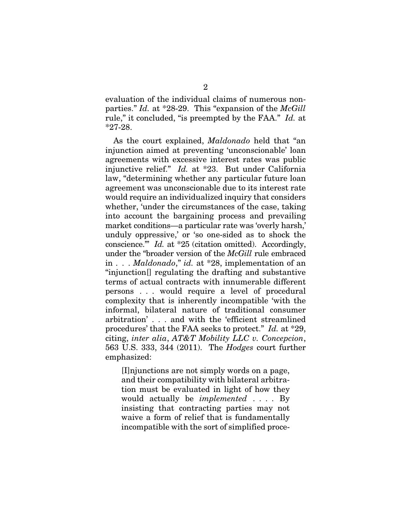evaluation of the individual claims of numerous nonparties." *Id.* at \*28-29. This "expansion of the *McGill* rule," it concluded, "is preempted by the FAA." *Id.* at \*27-28.

As the court explained, *Maldonado* held that "an injunction aimed at preventing 'unconscionable' loan agreements with excessive interest rates was public injunctive relief." *Id.* at \*23. But under California law, "determining whether any particular future loan agreement was unconscionable due to its interest rate would require an individualized inquiry that considers whether, 'under the circumstances of the case, taking into account the bargaining process and prevailing market conditions—a particular rate was 'overly harsh,' unduly oppressive,' or 'so one-sided as to shock the conscience.'" *Id.* at \*25 (citation omitted). Accordingly, under the "broader version of the *McGill* rule embraced in . . . *Maldonado*," *id.* at \*28, implementation of an "injunction[] regulating the drafting and substantive terms of actual contracts with innumerable different persons . . . would require a level of procedural complexity that is inherently incompatible 'with the informal, bilateral nature of traditional consumer arbitration' . . . and with the 'efficient streamlined procedures' that the FAA seeks to protect." *Id.* at \*29, citing, *inter alia*, *AT&T Mobility LLC v. Concepcion*, 563 U.S. 333, 344 (2011). The *Hodges* court further emphasized:

[I]njunctions are not simply words on a page, and their compatibility with bilateral arbitration must be evaluated in light of how they would actually be *implemented* . . . . By insisting that contracting parties may not waive a form of relief that is fundamentally incompatible with the sort of simplified proce-